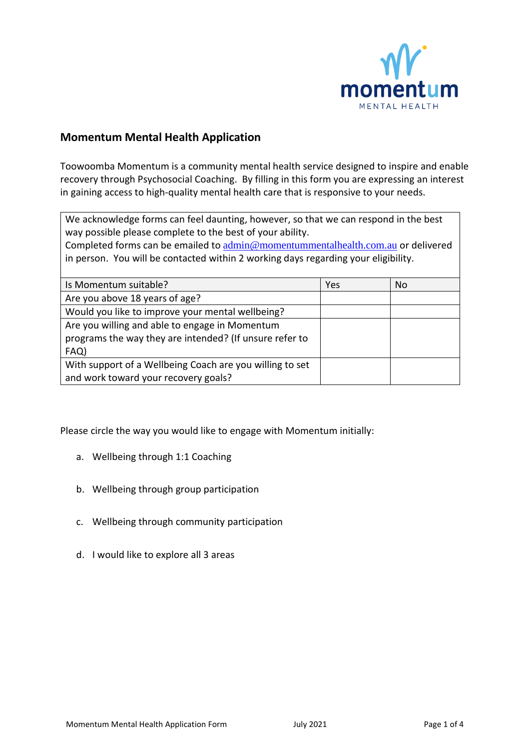

## **Momentum Mental Health Application**

Toowoomba Momentum is a community mental health service designed to inspire and enable recovery through Psychosocial Coaching. By filling in this form you are expressing an interest in gaining access to high-quality mental health care that is responsive to your needs.

We acknowledge forms can feel daunting, however, so that we can respond in the best way possible please complete to the best of your ability.

Completed forms can be emailed to  $\frac{\text{admin@momentummental health.com.au}}{\text{aeth} \cdot \text{com.au}}$  or delivered in person. You will be contacted within 2 working days regarding your eligibility.

| Is Momentum suitable?                                                                                     | Yes | No. |
|-----------------------------------------------------------------------------------------------------------|-----|-----|
| Are you above 18 years of age?                                                                            |     |     |
| Would you like to improve your mental wellbeing?                                                          |     |     |
| Are you willing and able to engage in Momentum<br>programs the way they are intended? (If unsure refer to |     |     |
| FAQ)                                                                                                      |     |     |
| With support of a Wellbeing Coach are you willing to set                                                  |     |     |
| and work toward your recovery goals?                                                                      |     |     |

Please circle the way you would like to engage with Momentum initially:

- a. Wellbeing through 1:1 Coaching
- b. Wellbeing through group participation
- c. Wellbeing through community participation
- d. I would like to explore all 3 areas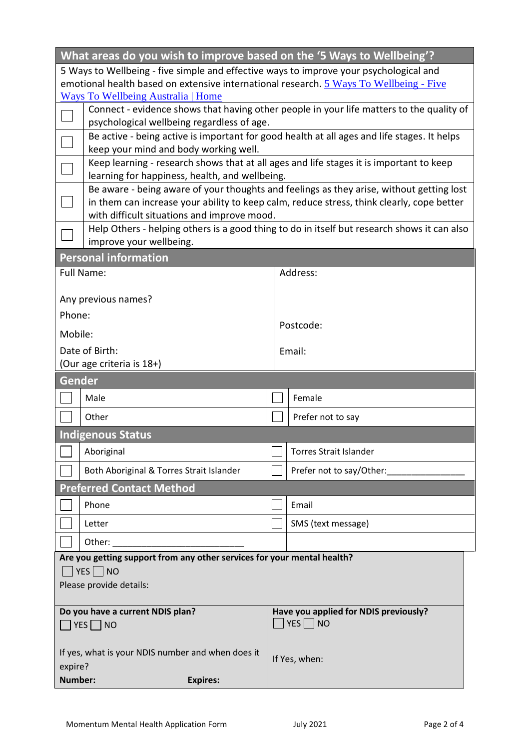| What areas do you wish to improve based on the '5 Ways to Wellbeing'?                                                                     |                                                                                                                                        |  |  |
|-------------------------------------------------------------------------------------------------------------------------------------------|----------------------------------------------------------------------------------------------------------------------------------------|--|--|
| 5 Ways to Wellbeing - five simple and effective ways to improve your psychological and                                                    |                                                                                                                                        |  |  |
| emotional health based on extensive international research. 5 Ways To Wellbeing - Five                                                    |                                                                                                                                        |  |  |
| <b>Ways To Wellbeing Australia   Home</b>                                                                                                 |                                                                                                                                        |  |  |
|                                                                                                                                           | Connect - evidence shows that having other people in your life matters to the quality of<br>psychological wellbeing regardless of age. |  |  |
|                                                                                                                                           | Be active - being active is important for good health at all ages and life stages. It helps                                            |  |  |
| keep your mind and body working well.                                                                                                     |                                                                                                                                        |  |  |
| Keep learning - research shows that at all ages and life stages it is important to keep<br>learning for happiness, health, and wellbeing. |                                                                                                                                        |  |  |
|                                                                                                                                           | Be aware - being aware of your thoughts and feelings as they arise, without getting lost                                               |  |  |
|                                                                                                                                           | in them can increase your ability to keep calm, reduce stress, think clearly, cope better                                              |  |  |
|                                                                                                                                           | with difficult situations and improve mood.                                                                                            |  |  |
| improve your wellbeing.                                                                                                                   | Help Others - helping others is a good thing to do in itself but research shows it can also                                            |  |  |
| <b>Personal information</b>                                                                                                               |                                                                                                                                        |  |  |
| <b>Full Name:</b>                                                                                                                         | Address:                                                                                                                               |  |  |
|                                                                                                                                           |                                                                                                                                        |  |  |
| Any previous names?                                                                                                                       |                                                                                                                                        |  |  |
| Phone:                                                                                                                                    |                                                                                                                                        |  |  |
| Postcode:<br>Mobile:                                                                                                                      |                                                                                                                                        |  |  |
| Date of Birth:                                                                                                                            | Email:                                                                                                                                 |  |  |
| (Our age criteria is 18+)                                                                                                                 |                                                                                                                                        |  |  |
|                                                                                                                                           |                                                                                                                                        |  |  |
| Gender                                                                                                                                    |                                                                                                                                        |  |  |
| Male                                                                                                                                      | Female                                                                                                                                 |  |  |
| Other                                                                                                                                     | Prefer not to say                                                                                                                      |  |  |
| <b>Indigenous Status</b>                                                                                                                  |                                                                                                                                        |  |  |
| Aboriginal                                                                                                                                | <b>Torres Strait Islander</b>                                                                                                          |  |  |
| Both Aboriginal & Torres Strait Islander                                                                                                  | Prefer not to say/Other:                                                                                                               |  |  |
| <b>Preferred Contact Method</b>                                                                                                           |                                                                                                                                        |  |  |
| Phone                                                                                                                                     | Email                                                                                                                                  |  |  |
| Letter                                                                                                                                    | SMS (text message)                                                                                                                     |  |  |
|                                                                                                                                           |                                                                                                                                        |  |  |
| Are you getting support from any other services for your mental health?                                                                   |                                                                                                                                        |  |  |
| $\Box$ YES $\Box$ NO                                                                                                                      |                                                                                                                                        |  |  |
| Please provide details:                                                                                                                   |                                                                                                                                        |  |  |
| Do you have a current NDIS plan?                                                                                                          | Have you applied for NDIS previously?                                                                                                  |  |  |
| $\Box$ YES $\Box$ NO                                                                                                                      | $\Box$ YES $\Box$ NO                                                                                                                   |  |  |
|                                                                                                                                           |                                                                                                                                        |  |  |
| If yes, what is your NDIS number and when does it                                                                                         | If Yes, when:                                                                                                                          |  |  |
| expire?<br>Number:<br><b>Expires:</b>                                                                                                     |                                                                                                                                        |  |  |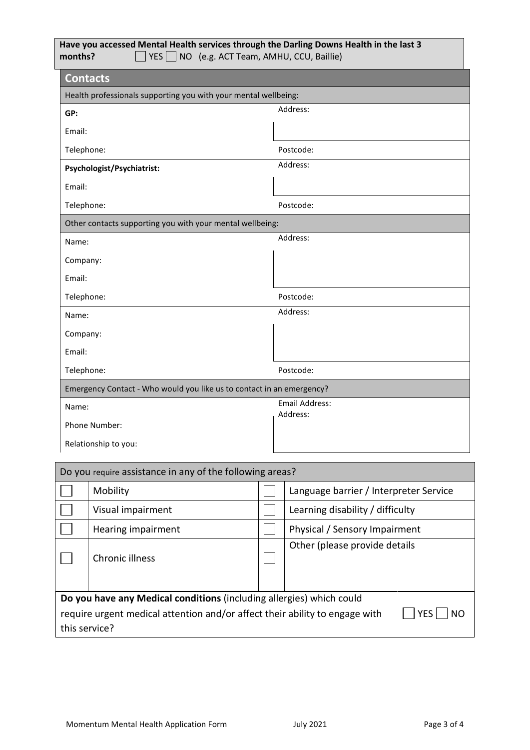| Have you accessed Mental Health services through the Darling Downs Health in the last 3<br>months?<br>YES     NO (e.g. ACT Team, AMHU, CCU, Baillie)               |                                                                       |           |                                        |  |  |
|--------------------------------------------------------------------------------------------------------------------------------------------------------------------|-----------------------------------------------------------------------|-----------|----------------------------------------|--|--|
|                                                                                                                                                                    | <b>Contacts</b>                                                       |           |                                        |  |  |
|                                                                                                                                                                    | Health professionals supporting you with your mental wellbeing:       |           |                                        |  |  |
| GP:                                                                                                                                                                |                                                                       |           | Address:                               |  |  |
| Email:                                                                                                                                                             |                                                                       |           |                                        |  |  |
| Telephone:                                                                                                                                                         |                                                                       |           | Postcode:                              |  |  |
| Psychologist/Psychiatrist:                                                                                                                                         |                                                                       |           | Address:                               |  |  |
| Email:                                                                                                                                                             |                                                                       |           |                                        |  |  |
| Telephone:                                                                                                                                                         |                                                                       |           | Postcode:                              |  |  |
|                                                                                                                                                                    | Other contacts supporting you with your mental wellbeing:             |           |                                        |  |  |
|                                                                                                                                                                    | Name:                                                                 |           | Address:                               |  |  |
| Company:                                                                                                                                                           |                                                                       |           |                                        |  |  |
| Email:                                                                                                                                                             |                                                                       |           |                                        |  |  |
|                                                                                                                                                                    | Telephone:                                                            |           | Postcode:                              |  |  |
|                                                                                                                                                                    | Address:<br>Name:                                                     |           |                                        |  |  |
| Company:                                                                                                                                                           |                                                                       |           |                                        |  |  |
|                                                                                                                                                                    | Email:                                                                |           |                                        |  |  |
| Telephone:                                                                                                                                                         |                                                                       | Postcode: |                                        |  |  |
|                                                                                                                                                                    | Emergency Contact - Who would you like us to contact in an emergency? |           |                                        |  |  |
|                                                                                                                                                                    | <b>Email Address:</b><br>Name:                                        |           | Address:                               |  |  |
|                                                                                                                                                                    | Phone Number:                                                         |           |                                        |  |  |
|                                                                                                                                                                    | Relationship to you:                                                  |           |                                        |  |  |
|                                                                                                                                                                    |                                                                       |           |                                        |  |  |
|                                                                                                                                                                    | Do you require assistance in any of the following areas?              |           |                                        |  |  |
|                                                                                                                                                                    | Mobility                                                              |           | Language barrier / Interpreter Service |  |  |
|                                                                                                                                                                    | Visual impairment                                                     |           | Learning disability / difficulty       |  |  |
|                                                                                                                                                                    | Hearing impairment                                                    |           | Physical / Sensory Impairment          |  |  |
|                                                                                                                                                                    | Chronic illness                                                       |           | Other (please provide details          |  |  |
|                                                                                                                                                                    |                                                                       |           |                                        |  |  |
|                                                                                                                                                                    |                                                                       |           |                                        |  |  |
| Do you have any Medical conditions (including allergies) which could<br>require urgent medical attention and/or affect their ability to engage with<br>YES.<br>NO. |                                                                       |           |                                        |  |  |
| this service?                                                                                                                                                      |                                                                       |           |                                        |  |  |